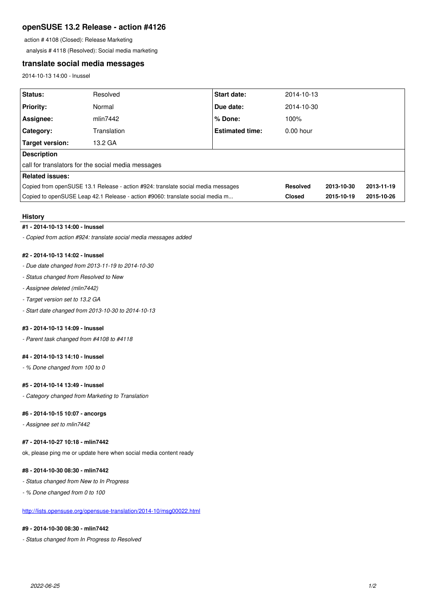# **openSUSE 13.2 Release - action #4126**

action # 4108 (Closed): Release Marketing

analysis # 4118 (Resolved): Social media marketing

# **translate social media messages**

2014-10-13 14:00 - lnussel

| Status:                                                                          | Resolved    | <b>Start date:</b>     | 2014-10-13      |            |            |
|----------------------------------------------------------------------------------|-------------|------------------------|-----------------|------------|------------|
| <b>Priority:</b>                                                                 | Normal      | Due date:              | 2014-10-30      |            |            |
| Assignee:                                                                        | mlin7442    | % Done:                | 100%            |            |            |
| <b>Category:</b>                                                                 | Translation | <b>Estimated time:</b> | $0.00$ hour     |            |            |
| Target version:                                                                  | 13.2 GA     |                        |                 |            |            |
| <b>Description</b>                                                               |             |                        |                 |            |            |
| call for translators for the social media messages                               |             |                        |                 |            |            |
| Related issues:                                                                  |             |                        |                 |            |            |
| Copied from openSUSE 13.1 Release - action #924: translate social media messages |             |                        | <b>Resolved</b> | 2013-10-30 | 2013-11-19 |
| Copied to openSUSE Leap 42.1 Release - action #9060: translate social media m    |             |                        | <b>Closed</b>   | 2015-10-19 | 2015-10-26 |

#### **History**

## **#1 - 2014-10-13 14:00 - lnussel**

*- Copied from action #924: translate social media messages added*

## **#2 - 2014-10-13 14:02 - lnussel**

- *Due date changed from 2013-11-19 to 2014-10-30*
- *Status changed from Resolved to New*
- *Assignee deleted (mlin7442)*
- *Target version set to 13.2 GA*
- *Start date changed from 2013-10-30 to 2014-10-13*

#### **#3 - 2014-10-13 14:09 - lnussel**

*- Parent task changed from #4108 to #4118*

## **#4 - 2014-10-13 14:10 - lnussel**

*- % Done changed from 100 to 0*

### **#5 - 2014-10-14 13:49 - lnussel**

*- Category changed from Marketing to Translation*

#### **#6 - 2014-10-15 10:07 - ancorgs**

*- Assignee set to mlin7442*

## **#7 - 2014-10-27 10:18 - mlin7442**

ok, please ping me or update here when social media content ready

### **#8 - 2014-10-30 08:30 - mlin7442**

*- Status changed from New to In Progress*

*- % Done changed from 0 to 100*

## <http://lists.opensuse.org/opensuse-translation/2014-10/msg00022.html>

# **#9 - 2014-10-30 08:30 - mlin7442**

*- Status changed from In Progress to Resolved*